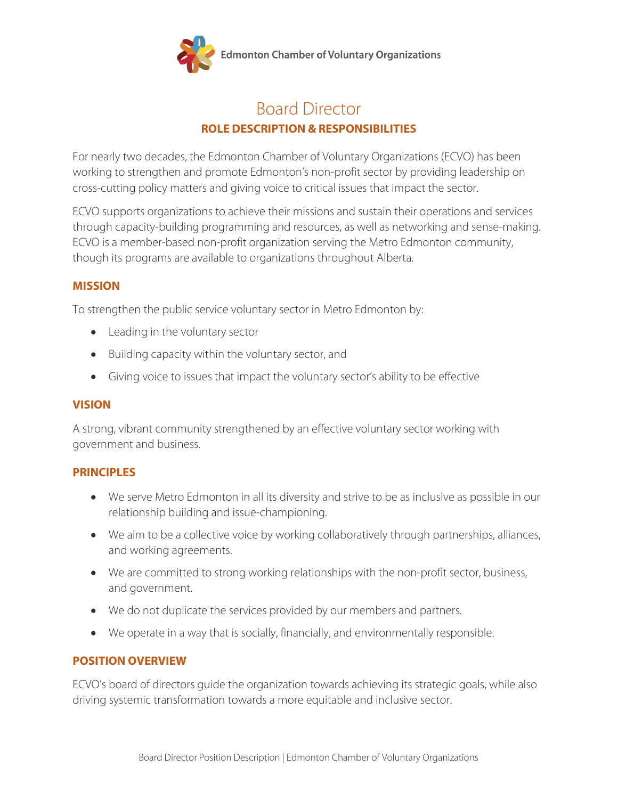

# Board Director **ROLE DESCRIPTION & RESPONSIBILITIES**

For nearly two decades, the Edmonton Chamber of Voluntary Organizations (ECVO) has been working to strengthen and promote Edmonton's non-profit sector by providing leadership on cross-cutting policy matters and giving voice to critical issues that impact the sector.

ECVO supports organizations to achieve their missions and sustain their operations and services through capacity-building programming and resources, as well as networking and sense-making. ECVO is a member-based non-profit organization serving the Metro Edmonton community, though its programs are available to organizations throughout Alberta.

### **MISSION**

To strengthen the public service voluntary sector in Metro Edmonton by:

- Leading in the voluntary sector
- Building capacity within the voluntary sector, and
- Giving voice to issues that impact the voluntary sector's ability to be effective

## **VISION**

A strong, vibrant community strengthened by an effective voluntary sector working with government and business.

#### **PRINCIPLES**

- We serve Metro Edmonton in all its diversity and strive to be as inclusive as possible in our relationship building and issue-championing.
- We aim to be a collective voice by working collaboratively through partnerships, alliances, and working agreements.
- We are committed to strong working relationships with the non-profit sector, business, and government.
- We do not duplicate the services provided by our members and partners.
- We operate in a way that is socially, financially, and environmentally responsible.

## **POSITION OVERVIEW**

ECVO's board of directors guide the organization towards achieving its strategic goals, while also driving systemic transformation towards a more equitable and inclusive sector.